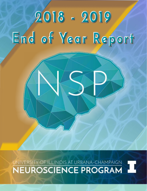# **2018 - 2019 End of Year Report**

UNIVERSITY OF ILLINOIS AT URBANA-CHAMPAIGN THE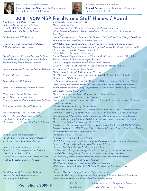



Neuroscience Program Coordinator: **Samuel Beshers** of the Neuroscience Program and Department of Entomology.

# **2018 - 2019 NSP Faculty and Staff Honors / Awards**

Aron Barbey, Psychology Professor 2nd Annual Mensa Foundation Prize Rashid Bashir, Bioengineering Professor Named Grainger Chair

Roberto Galvez, COM Teaching Assistant Professor Developmental Neurobiology Cover Image

Wendy Heller, Psychology Professor Executive Officer Distinguished Leadership Award

Heidemarie Laurent, Psychology Assistant Professor Named Helen Corley Petit Scholar for 2019-2020

Deborah Leckband, CBE Professor Names Reid T. Milner Professor Nu-Chu Liang, Psychology Assistant Professor Awarded NIH R03 and R21 Grant Award

Alison M. Bell, Animal Biology Professor University of Illinois - 2018 University Scholar, Getz Professorial Scholar Aaron Benjamin, Psychology Professor Fellow, American Psychological Association (Division 3); Fellow, Society of Experimental Psychologists Stephen Boppart, ECE Professor Interim Executive Associate Dean and Chief Diversity Officer, Carle Illinois College of Medicine SPIE Biophotonics Technology Innovator Award, 2019 Jefferson Chan, Chemistry Assistant Professor 2019-2020 Fellow, Center for Advance Study, University of Illinois Urbana-Champaign Aditi Das, CB Associate Professor Mary Swartz Rose Young Investigator Award from the American Society for Nutrition (ASN) List of Teachers Ranked as Excellent for VM602 Editorial Board of Frontiers in Pharmacology Ryan Dilger, Animal Sciences Associate Professor Purdue University Department of Animal Sciences Mid-Career Alumni Award (May 3, 2019) Kara Federmeier, Psychology Associate Professor President, Society for Psychophysiological Research Rebecca Fuller, Animal Biology Professor 2018-2019 Yerger Lectureship Award, Florida State University University of Illinois - 2018 Teaching Professorial Scholar in Integrative Biology Nature - Scientific Reports Editorial Board Member Martha Gillette, CDB Professor NIH National Heart, Lung, and Blood Institute (NHLBI) Advisory Council, Member November 1, 2018-October 31, 2022 Rhanor Gillette, MIP Professor **MultiUniversity Research Institute (MURI)** Award, ONR - to a team of 7 labs across UIUC, Northwestern, and Stanford: Project: A CyberOctopus that Learns, Evolves and Adapts Neha Gothe, Kinesiology Assistant Professor Early Career Investigator Award [Complementary & Integrative Medicine SIG], Society of Behavioral Medicine, March 2019 Mark Hauber, Animal Biology Professor Named Harley Jones Van Cleave Professor in Host-Parasite Interactions Manuel Hernandez, Kinesiology Assistant Professor Michael V. Colla Prize for Mathematics Related to Medicine for co-mentored Illinois Geometry Lab Research Group Elizabeth Hsiao-Wecksler, MSE Professor Fellow in the American Society of Biomechanics Distinguished Engineering Educator Awardee from the National Society of Women Engineers Fatima Husain, Speech & Hearing Professor 2019-2020 Associate, Center for Advance Study, University of Illinois Urbana-Champaign Daniel Hyde, Psychology Associate Professor Distinguished Early Career Contribution Award, International Congress on Infant Studies Douglas Jones, ECE Professor Named William L. Everitt Distinguished Professor in Electrical and Computer Engineering Received two National Institute of Child Health and Human Development (NICHD) R01 Grants Received Mind and Life PEACE grant "Neurobehavioral Effects of Prenatla Mindfulness Training on Maternal Presence and Compassionate Love Citlali Lopez-Ortiz, Kinesiology Professor 2109-2020 Fellow, Center for Advanced Study, University of Illinois at Urbana-Champaign Arnold and Mabel Beckman Foundation Pilot Research Grant Steven Petruzzello, Kinesiology Professor Elected Fellow of the National Academy of Kinesiology Justin Rhodes, Psychology Associate Professor 3rd Percentile on R21 grant In vitro platform for discovering muscle-neuron interactions Gene Robinson, Director IGB 2018 Wolf Prize in Agriculture; Election to the National Academy of Medicine Uwe Rudolph, Comparative Bioscience Professor Joined University of Illinois, named Head of Comparative Biosciences Department Jonathan Sweedler, Chemistry Professor Named James R. Eiszner Family Chair in Chemistry 2018 Visionary Award from the American Diabetes Association 2018 Torbern Bergman Medal at the National Meeting of the Swedish Chemical **Society** Emad Tajkhorshid, Biochemistry Professor Named J. Woodland Hastings Endowed Chair in Biochemistry Nien-Pei Tsai, MIP Assistant Professor 2018 NARSAD Young Investigator Award from the Brain & Behavior Research Foundation Yurii Vlasov, ECE Professor Named Founder Professor in Electrical & Computer Engineering

**Promotions 2018-19**<br>Daniel Hyde Associate Professor Psychology<br>Associate Professor Psychology Associate Professor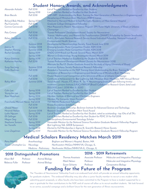## **Student Honors, Awards, and Acknowledgments**

| Alexander Asilador                 | <b>Fall 2018</b>                | List of Teachers Ranked as Excellent by their Students                                                                                                     |
|------------------------------------|---------------------------------|------------------------------------------------------------------------------------------------------------------------------------------------------------|
| <b>Brian Baculis</b>               | Spring 2018<br><b>Fall 2018</b> | List of Teachers Ranked as Excellent by their Students<br>NSF-NRT: Understanding the Brain: Training the Next Generation of Researchers in Engineering and |
|                                    |                                 | Deciphering of Miniature Brain Machinery (MBM) trainee                                                                                                     |
| Richard Bido Medina                | Spring 2019                     | Matched to Harvard Medical School Psychiatry Residency at Mass General Hospital                                                                            |
| Paul Camacho                       | <b>Fall 2018</b>                | Graduate College Distinguished Fellowship                                                                                                                  |
| Corinne Cannavale                  | <b>Fall 2018</b>                | Most Prepared to Present, Neuroscience Program SfN Poster Night, University of Illinois at Urbana-                                                         |
|                                    |                                 | Champaign                                                                                                                                                  |
| Paty Cintora                       | <b>Fall 2018</b>                | Trainee Professional Development Award, Society for Neuroscience                                                                                           |
|                                    | <b>Fall 2018</b>                | Science, Mathematics, and Research for Transformation (SMART) Scholarship for Service Semifinalist                                                         |
| Kelsey Dzwilewski                  | <b>Fall 2018</b>                | Ruth L. Kirschstein National Research Service Award Individual Fellowship, National Institute of                                                           |
|                                    |                                 | <b>Environmental Health Sciences</b>                                                                                                                       |
|                                    | Summer 2018                     | Developmental Neurotoxicology Society, Travel Award, June 2018                                                                                             |
| Joanne Fil                         | Summer 2018                     | <b>Emerging Leaders Poster Competition Finalist, ASN 2018</b>                                                                                              |
| Stephen Fleming                    | Summer 2018                     | Emerging Leaders Poster Competition Finalist, ASN 2018                                                                                                     |
| Rachel Gonzalez                    | Spring 2019                     | ENDO 2019 Knock-out Rounds Second Place, March 2019                                                                                                        |
|                                    | Spring 2019                     | Women in Endocrinology Young Investigator Award, March 2019                                                                                                |
| Katya Gribkova                     | Spring 2019                     | List of Teachers Marked as Excellent by the Student for Fall 2018                                                                                          |
| Katherine Hatcher                  | <b>Fall 2018</b>                | Trainee Professional Development Award (Society for Neuroscience 2018)                                                                                     |
|                                    |                                 | Alternate for Paul D. Doolen Graduate Award for the study of Aging (University of Illinois)                                                                |
| Sung-Soo Jang                      | Summer 2018                     | American Epilepsy Society Predoctoral Research Fellowship                                                                                                  |
| Collin Kaufman                     | <b>Fall 2018</b>                | Awarded a Traineeship on the NSF Training Grant Understanding the Brain: Training the Next                                                                 |
|                                    |                                 | Generation of Researchers in Engineering and Deciphering of Miniature Brain Machinery                                                                      |
|                                    | <b>Fall 2018</b>                | Finalist Research Live! Competition at the University of Illinois at Urbana-Champaign                                                                      |
|                                    | <b>Fall 2018</b>                | Certificate of Achievement for Best Lightning Talk, Miniature Brain Machinery NRT Annual Retreat                                                           |
| Rafay Khan                         | Summer 2018                     | Travel Award - Husain, F.T., Khan, R., Tai, Y. Neuroimaging brain changes following tinnitus                                                               |
|                                    |                                 | treatment. Lemann Institute (UIUC)-FAPESP (Brazil) Collaborative Research Grant, (total cost)                                                              |
|                                    |                                 | \$20,000, June 1, 2018 May 31, 2020                                                                                                                        |
| Colin Lee                          | Spring 2018                     | List of Teachers Ranked as Excellent by their Student                                                                                                      |
| Young Jae Lee                      | Spring 2018                     | List of Teachers Ranked as Excellent by their Student                                                                                                      |
| Rose Meacham                       | Spring 2019                     | Member, Institute of Electrical and Electronics Engineers                                                                                                  |
| Francheska Merced-Nieves Fall 2018 | Spring 2019                     | Member, The Computer Vision Foundation<br><b>T23 NIEHS Predoctoral Fellowship</b>                                                                          |
|                                    | <b>Fall 2018</b>                | Kinesis Foundation Scholarship                                                                                                                             |
| <b>Ghazal Naseri</b>               | <b>Fall 2018</b>                | Beckman Graduate Fellowship. Beckman Institute for Advanced Science and Technology.                                                                        |
| Nnamdi Nelson                      | Summer 2018                     | Research Society on Alcoholism Merit Travel Award                                                                                                          |
| Lydia Nguyen                       | Spring 2018                     | List of Teachers Ranked as Excellent by their Student, rated as outstanding - top 10% of all TA's                                                          |
| Elli Sellinger                     | <b>Fall 2018</b>                | List of Teachers Ranked as Excellent by their Student for PSYC 311 for Fall 2018                                                                           |
| <b>Megan Sieg</b>                  | <b>Fall 2018</b>                | Interdisciplinary Environmental Toxicology Scholar                                                                                                         |
| Stephanie Soriano                  | Spring 2019                     | Honorable Mention for the National Science Foundation Graduate Research Fellowship Program                                                                 |
| Ian Traniello                      | Spring 2018                     | Best Lightning Talk, GEEB Symposium                                                                                                                        |
|                                    | Spring 2018                     | Elected to Full Membership in Sigma Xi, Scientific Research Honor Society                                                                                  |
| Liran Ziegelman                    | Spring 2019                     | Honorable Mention for the National Science Foundation Graduate Research Fellowship Program                                                                 |
|                                    |                                 |                                                                                                                                                            |

# **Medical Scholars Residency Matches March 2019**

Petra Majdak Anesthesiology Brigham and Women's Hospital, Boston, MA Siyuan Christopher Liu Neurology Northwestern McGaw/NMH/VA, Chicago, IL Medicine - Preliminary Northwester McGaw/NMH/VA-IL, Chicago, IL

## **2018 Distinguished Promotions**

Alison Bell Professor Animal Biology Rebecca Fuller Professor Animal Biology

**2018 - 2019 Retirements**

Thomas Anastasio Associate Professor Molecular and Integrative Physiology Mark Nelson Professor Molecular and Integrative Physiology Susan Schantz Professor Comparative Biology

# **Funding for the Future of the Program**



The "Founders of Neuroscience" Fellowship Fund is an endowed fund which will provide an annual fellowship opportunity for graduate students. This endowed fellowship may also allow a junior faculty member to recruit a new student while submitting grant proposals, or allow faculty who have been committed to the Program to have a student supported for a year in gratitude for their contributions to the NSP, and of course will allow us to recruit excellent students. We look forward to an active, successful campaign and a brilliant future for the next generation of Illinois neuroscientists.